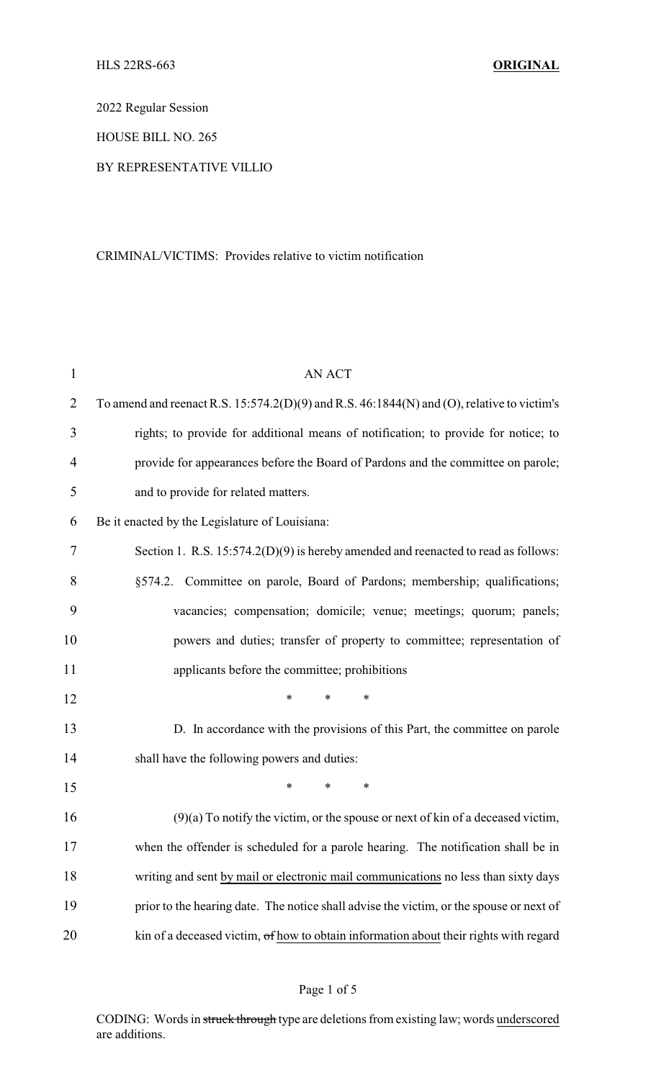2022 Regular Session

HOUSE BILL NO. 265

#### BY REPRESENTATIVE VILLIO

#### CRIMINAL/VICTIMS: Provides relative to victim notification

| $\mathbf{1}$   | <b>AN ACT</b>                                                                                  |
|----------------|------------------------------------------------------------------------------------------------|
| $\overline{2}$ | To amend and reenact R.S. $15:574.2(D)(9)$ and R.S. $46:1844(N)$ and (O), relative to victim's |
| 3              | rights; to provide for additional means of notification; to provide for notice; to             |
| $\overline{4}$ | provide for appearances before the Board of Pardons and the committee on parole;               |
| 5              | and to provide for related matters.                                                            |
| 6              | Be it enacted by the Legislature of Louisiana:                                                 |
| 7              | Section 1. R.S. $15:574.2(D)(9)$ is hereby amended and reenacted to read as follows:           |
| 8              | §574.2. Committee on parole, Board of Pardons; membership; qualifications;                     |
| 9              | vacancies; compensation; domicile; venue; meetings; quorum; panels;                            |
| 10             | powers and duties; transfer of property to committee; representation of                        |
| 11             | applicants before the committee; prohibitions                                                  |
| 12             | *<br>$\ast$<br>$\ast$                                                                          |
| 13             | D. In accordance with the provisions of this Part, the committee on parole                     |
| 14             | shall have the following powers and duties:                                                    |
| 15             | *<br>$\ast$<br>*                                                                               |
| 16             | $(9)(a)$ To notify the victim, or the spouse or next of kin of a deceased victim,              |
| 17             | when the offender is scheduled for a parole hearing. The notification shall be in              |
| 18             | writing and sent by mail or electronic mail communications no less than sixty days             |
| 19             | prior to the hearing date. The notice shall advise the victim, or the spouse or next of        |
| 20             | kin of a deceased victim, of how to obtain information about their rights with regard          |

## Page 1 of 5

CODING: Words in struck through type are deletions from existing law; words underscored are additions.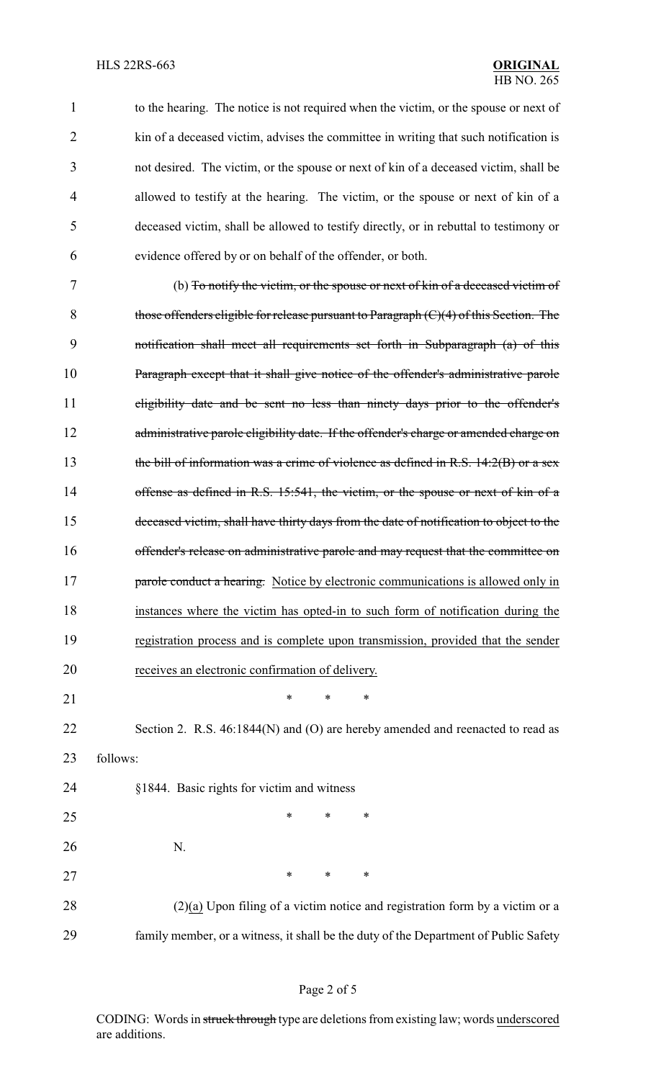| $\mathbf{1}$ | to the hearing. The notice is not required when the victim, or the spouse or next of     |
|--------------|------------------------------------------------------------------------------------------|
| 2            | kin of a deceased victim, advises the committee in writing that such notification is     |
| 3            | not desired. The victim, or the spouse or next of kin of a deceased victim, shall be     |
| 4            | allowed to testify at the hearing. The victim, or the spouse or next of kin of a         |
| 5            | deceased victim, shall be allowed to testify directly, or in rebuttal to testimony or    |
| 6            | evidence offered by or on behalf of the offender, or both.                               |
| 7            | (b) To notify the victim, or the spouse or next of kin of a deceased victim of           |
| 8            | those offenders eligible for release pursuant to Paragraph $(C)(4)$ of this Section. The |
| 9            | notification shall meet all requirements set forth in Subparagraph (a) of this           |
| 10           | Paragraph except that it shall give notice of the offender's administrative parole       |
| 11           | eligibility date and be sent no less than ninety days prior to the offender's            |
| 12           | administrative parole eligibility date. If the offender's charge or amended charge on    |
| 13           | the bill of information was a crime of violence as defined in R.S. $14:2(B)$ or a sex    |
| 14           | offense as defined in R.S. 15:541, the victim, or the spouse or next of kin of a         |
| 15           | deceased victim, shall have thirty days from the date of notification to object to the   |
| 16           | offender's release on administrative parole and may request that the committee on        |
| 17           | parole conduct a hearing. Notice by electronic communications is allowed only in         |
| 18           | instances where the victim has opted-in to such form of notification during the          |
| 19           | registration process and is complete upon transmission, provided that the sender         |
| 20           | receives an electronic confirmation of delivery.                                         |
| 21           | $\ast$<br>∗<br>$\ast$                                                                    |
| 22           | Section 2. R.S. 46:1844(N) and (O) are hereby amended and reenacted to read as           |
| 23           | follows:                                                                                 |
| 24           | §1844. Basic rights for victim and witness                                               |
| 25           | *<br>*<br>∗                                                                              |
| 26           | N.                                                                                       |
| 27           | *<br>$\ast$<br>∗                                                                         |
| 28           | $(2)(a)$ Upon filing of a victim notice and registration form by a victim or a           |
| 29           | family member, or a witness, it shall be the duty of the Department of Public Safety     |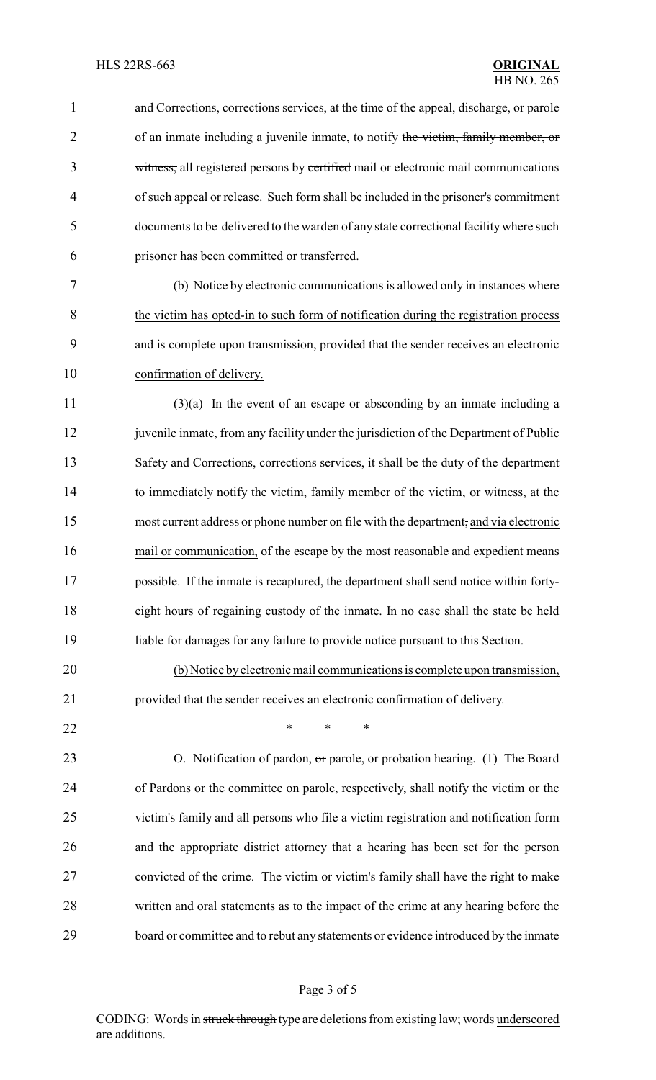| $\mathbf{1}$   | and Corrections, corrections services, at the time of the appeal, discharge, or parole |
|----------------|----------------------------------------------------------------------------------------|
| $\overline{2}$ | of an inmate including a juvenile inmate, to notify the victim, family member, or      |
| 3              | witness, all registered persons by certified mail or electronic mail communications    |
| $\overline{4}$ | of such appeal or release. Such form shall be included in the prisoner's commitment    |
| 5              | documents to be delivered to the warden of any state correctional facility where such  |
| 6              | prisoner has been committed or transferred.                                            |
| 7              | (b) Notice by electronic communications is allowed only in instances where             |
| 8              | the victim has opted-in to such form of notification during the registration process   |
| 9              | and is complete upon transmission, provided that the sender receives an electronic     |
| 10             | confirmation of delivery.                                                              |
| 11             | $(3)(a)$ In the event of an escape or absconding by an inmate including a              |
| 12             | juvenile inmate, from any facility under the jurisdiction of the Department of Public  |
| 13             | Safety and Corrections, corrections services, it shall be the duty of the department   |
| 14             | to immediately notify the victim, family member of the victim, or witness, at the      |
| 15             | most current address or phone number on file with the department, and via electronic   |
| 16             | mail or communication, of the escape by the most reasonable and expedient means        |
| 17             | possible. If the inmate is recaptured, the department shall send notice within forty-  |
| 18             | eight hours of regaining custody of the inmate. In no case shall the state be held     |
| 19             | liable for damages for any failure to provide notice pursuant to this Section.         |
| 20             | (b) Notice by electronic mail communications is complete upon transmission,            |
| 21             | provided that the sender receives an electronic confirmation of delivery.              |
| 22             | *<br>*<br>*                                                                            |
| 23             | O. Notification of pardon, or parole, or probation hearing. (1) The Board              |
| 24             | of Pardons or the committee on parole, respectively, shall notify the victim or the    |
| 25             | victim's family and all persons who file a victim registration and notification form   |
| 26             | and the appropriate district attorney that a hearing has been set for the person       |
| 27             | convicted of the crime. The victim or victim's family shall have the right to make     |
| 28             | written and oral statements as to the impact of the crime at any hearing before the    |
| 29             | board or committee and to rebut any statements or evidence introduced by the inmate    |

# Page 3 of 5

CODING: Words in struck through type are deletions from existing law; words underscored are additions.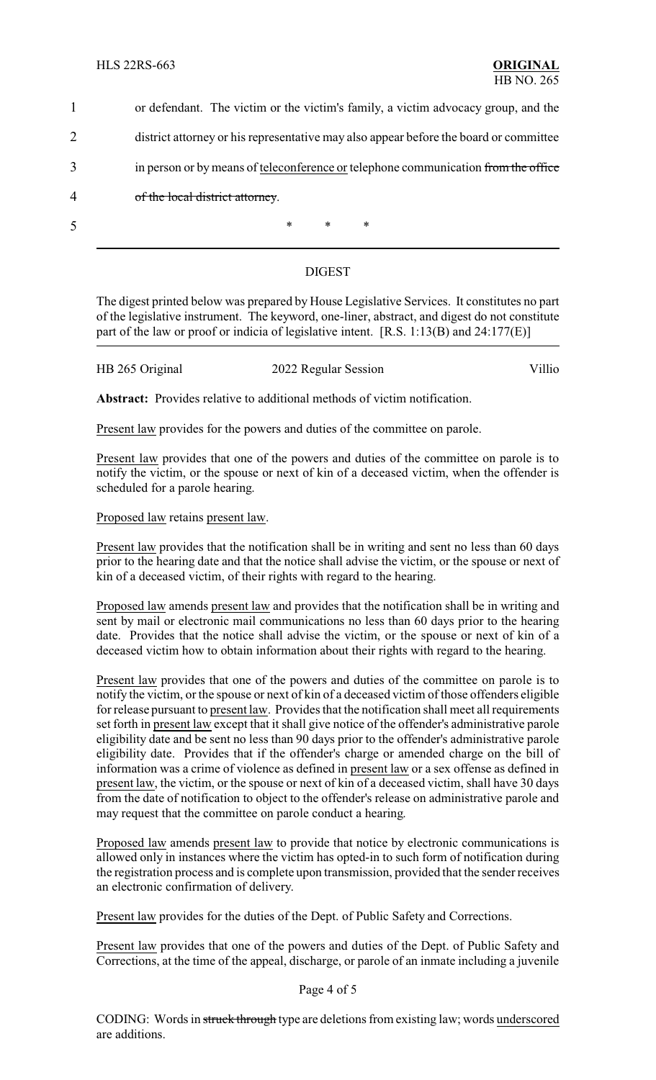|   | or defendant. The victim or the victim's family, a victim advocacy group, and the     |
|---|---------------------------------------------------------------------------------------|
|   | district attorney or his representative may also appear before the board or committee |
| 3 | in person or by means of teleconference or telephone communication from the office    |
| 4 | of the local district attorney.                                                       |
|   | $\ast$<br>$\ast$<br>$\ast$                                                            |

### DIGEST

The digest printed below was prepared by House Legislative Services. It constitutes no part of the legislative instrument. The keyword, one-liner, abstract, and digest do not constitute part of the law or proof or indicia of legislative intent. [R.S. 1:13(B) and 24:177(E)]

HB 265 Original 2022 Regular Session Villio

**Abstract:** Provides relative to additional methods of victim notification.

Present law provides for the powers and duties of the committee on parole.

Present law provides that one of the powers and duties of the committee on parole is to notify the victim, or the spouse or next of kin of a deceased victim, when the offender is scheduled for a parole hearing.

Proposed law retains present law.

Present law provides that the notification shall be in writing and sent no less than 60 days prior to the hearing date and that the notice shall advise the victim, or the spouse or next of kin of a deceased victim, of their rights with regard to the hearing.

Proposed law amends present law and provides that the notification shall be in writing and sent by mail or electronic mail communications no less than 60 days prior to the hearing date. Provides that the notice shall advise the victim, or the spouse or next of kin of a deceased victim how to obtain information about their rights with regard to the hearing.

Present law provides that one of the powers and duties of the committee on parole is to notify the victim, or the spouse or next of kin of a deceased victim of those offenders eligible for release pursuant to present law. Provides that the notification shall meet all requirements set forth in present law except that it shall give notice of the offender's administrative parole eligibility date and be sent no less than 90 days prior to the offender's administrative parole eligibility date. Provides that if the offender's charge or amended charge on the bill of information was a crime of violence as defined in present law or a sex offense as defined in present law, the victim, or the spouse or next of kin of a deceased victim, shall have 30 days from the date of notification to object to the offender's release on administrative parole and may request that the committee on parole conduct a hearing.

Proposed law amends present law to provide that notice by electronic communications is allowed only in instances where the victim has opted-in to such form of notification during the registration process and is complete upon transmission, provided that the sender receives an electronic confirmation of delivery.

Present law provides for the duties of the Dept. of Public Safety and Corrections.

Present law provides that one of the powers and duties of the Dept. of Public Safety and Corrections, at the time of the appeal, discharge, or parole of an inmate including a juvenile